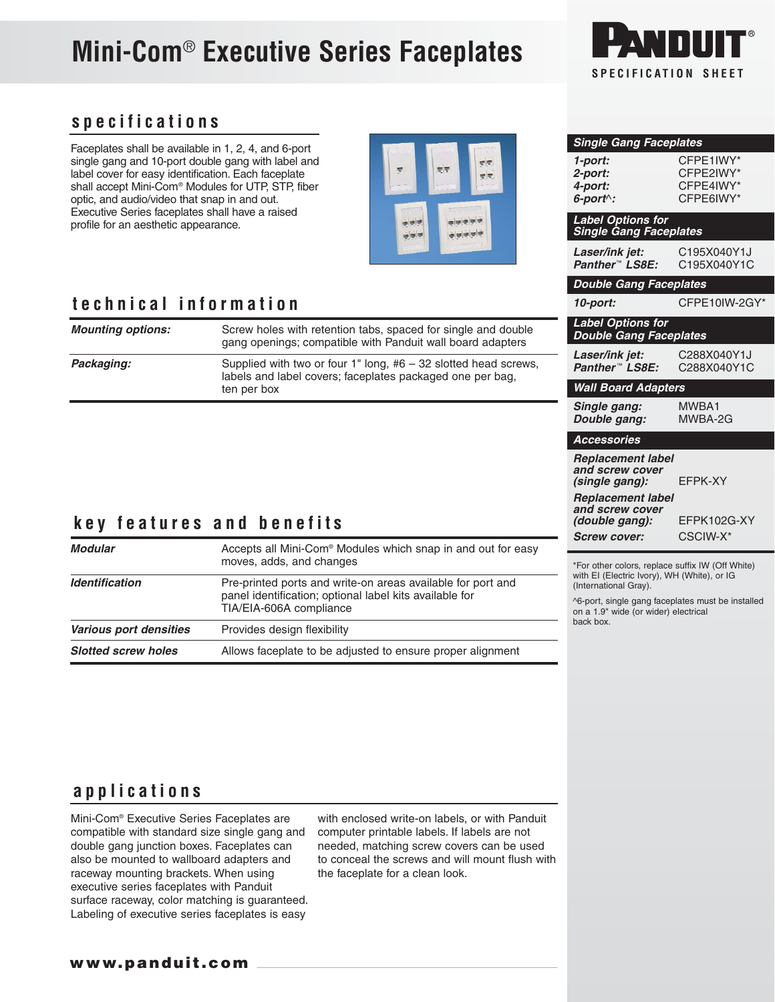# **Mini-Com**® **Executive Series Faceplates**



**Single Gang Faceplates**

**Label Options for Single Gang Faceplates**

**Panther™ LS8E:** 

**Label Options for Double Gang Faceplates**

**Double Gang Faceplates**

**1-port:** CFPE1IWY\*

**4-port:** CFPE4IWY\*

**Laser/ink jet:** C195X040Y1J<br>**Panther™ LS8E:** C195X040Y1C

**10-port:** CFPE10IW-2GY\*

**2-port:** CFPE2IWY\*

**6-port**^**:** CFPE6IWY\*

### **specifications**

Faceplates shall be available in 1, 2, 4, and 6-port single gang and 10-port double gang with label and label cover for easy identification. Each faceplate shall accept Mini-Com® Modules for UTP, STP, fiber optic, and audio/video that snap in and out. Executive Series faceplates shall have a raised profile for an aesthetic appearance.



### **technical information**

| <b>Mounting options:</b> | Screw holes with retention tabs, spaced for single and double<br>gang openings; compatible with Panduit wall board adapters                   |
|--------------------------|-----------------------------------------------------------------------------------------------------------------------------------------------|
| Packaging:               | Supplied with two or four 1" long, $#6 - 32$ slotted head screws,<br>labels and label covers; faceplates packaged one per bag,<br>ten per box |
|                          |                                                                                                                                               |

### **key features and benefits**

| Modular                    | Accepts all Mini-Com <sup>®</sup> Modules which snap in and out for easy<br>moves, adds, and changes                                              |
|----------------------------|---------------------------------------------------------------------------------------------------------------------------------------------------|
| <b>Identification</b>      | Pre-printed ports and write-on areas available for port and<br>panel identification; optional label kits available for<br>TIA/EIA-606A compliance |
| Various port densities     | Provides design flexibility                                                                                                                       |
| <b>Slotted screw holes</b> | Allows faceplate to be adjusted to ensure proper alignment                                                                                        |

#### **Laser/ink jet:** C288X040Y1J<br>**Panther™ LS8E:** C288X040Y1C **Panther<sup>™</sup> LS8E: Wall Board Adapters Single gang:** MWBA1 **Double gang: Accessories Replacement label and screw cover (single gang):** EFPK-XY **Replacement label and screw cover (double gang):** EFPK102G-XY

**Screw cover:** CSCIW-X\*

\*For other colors, replace suffix IW (Off White) with EI (Electric Ivory), WH (White), or IG (International Gray).

^6-port, single gang faceplates must be installed on a 1.9" wide (or wider) electrical back box.

### **applications**

Mini-Com® Executive Series Faceplates are compatible with standard size single gang and double gang junction boxes. Faceplates can also be mounted to wallboard adapters and raceway mounting brackets. When using executive series faceplates with Panduit surface raceway, color matching is guaranteed. Labeling of executive series faceplates is easy

with enclosed write-on labels, or with Panduit computer printable labels. If labels are not needed, matching screw covers can be used to conceal the screws and will mount flush with the faceplate for a clean look.